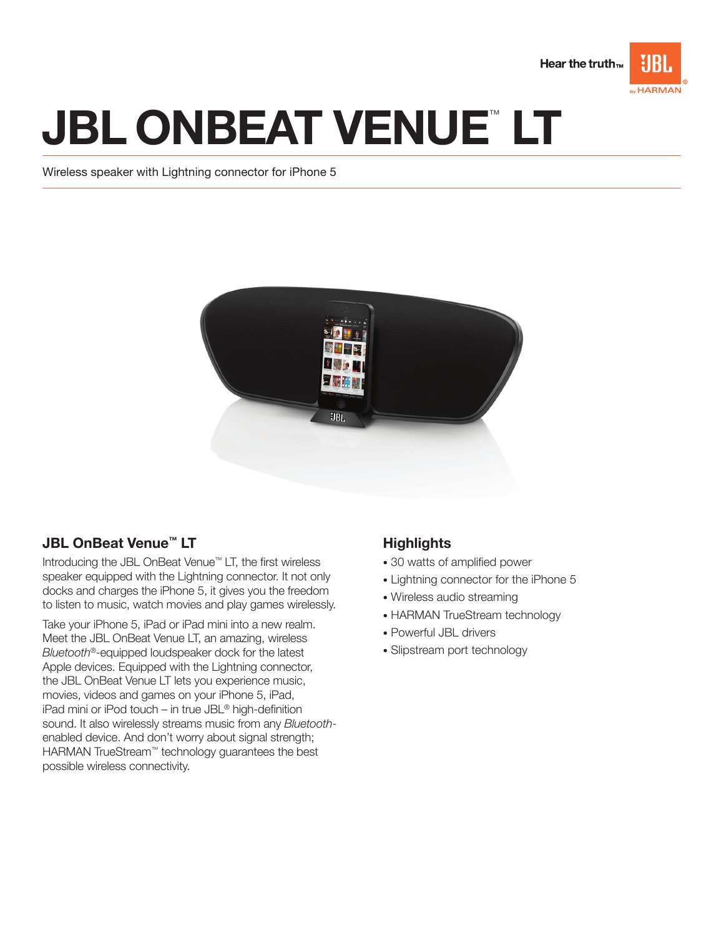

# **JBL ONBEAT VENUE™LT**

Wireless speaker with Lightning connector for iPhone 5



# JBL OnBeat Venue™ LT

Introducing the JBL OnBeat Venue™ LT, the first wireless speaker equipped with the Lightning connector. It not only docks and charges the iPhone 5, it gives you the freedom to listen to music, watch movies and play games wirelessly.

Take your iPhone 5, iPad or iPad mini into a new realm. Meet the JBL OnBeat Venue LT, an amazing, wireless Bluetooth<sup>®</sup>-equipped loudspeaker dock for the latest Apple devices. Equipped with the Lightning connector, the JBL OnBeat Venue LT lets you experience music, movies, videos and games on your iPhone 5, iPad, iPad mini or iPod touch – in true JBL® high-definition sound. It also wirelessly streams music from any Bluetoothenabled device. And don't worry about signal strength; HARMAN TrueStream™ technology guarantees the best possible wireless connectivity.

# **Highlights**

- 30 watts of amplified power
- Lightning connector for the iPhone 5
- Wireless audio streaming
- HARMAN TrueStream technology
- Powerful JBL drivers
- Slipstream port technology